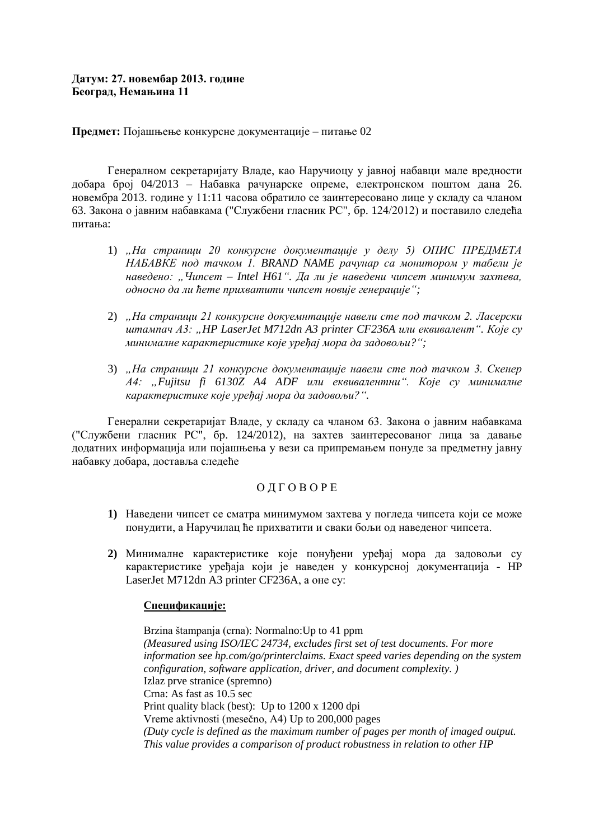# **Датум: 27. новембар 2013. године Београд, Немањина 11**

## **Предмет:** Појашњење конкурсне документације – питање 02

Генералном секретаријату Владе, као Наручиоцу у јавној набавци мале вредности добара број 04/2013 – Набавка рачунарске опреме, електронском поштом дана 26. новембра 2013. године у 11:11 часова обратило се заинтересовано лице у складу са чланом 63. Закона о јавним набавкама ("Службени гласник РС", бр. 124/2012) и поставило следећа питања:

- 1) *"На страници 20 конкурсне документације у делу 5) ОПИС ПРЕДМЕТА НАБАВКЕ под тачком 1. BRAND NAME рачунар са монитором у табели је наведено: "Чипсет – Intel H61". Да ли је наведени чипсет минимум захтева, односно да ли ћете прихватити чипсет новије генерације";*
- 2) *"На страници 21 конкурсне докуемнтације навели сте под тачком 2. Ласерски штампач А3: "HP LaserJet M712dn A3 printer CF236A или еквивалент". Које су минималне карактеристике које уређај мора да задовољи?";*
- 3) *"На страници 21 конкурсне документације навели сте под тачком 3. Скенер А4: "Fujitsu fi 6130Z A4 ADF или еквивалентни". Које су минималне карактеристике које уређај мора да задовољи?".*

Генерални секретаријат Владе, у складу са чланом 63. Закона о јавним набавкама ("Службени гласник РС", бр. 124/2012), на захтев заинтересованог лица за давање додатних информација или појашњења у вези са припремањем понуде за предметну јавну набавку добара, доставља следеће

## О Д Г О В О Р Е

- **1)** Наведени чипсет се сматра минимумом захтева у погледа чипсета који се може понудити, а Наручилац ће прихватити и сваки бољи од наведеног чипсета.
- **2)** Минималне карактеристике које понуђени уређај мора да задовољи су карактеристике уређаја који је наведен у конкурсној документација - HP LaserJet M712dn A3 printer CF236A, а оне су:

### **[Спецификације:](javascript:%20void(0);)**

Brzina štampanja (crna): Normalno:Up to 41 ppm *(Measured using ISO/IEC 24734, excludes first set of test documents. For more information see hp.com/go/printerclaims. Exact speed varies depending on the system configuration, software application, driver, and document complexity. )* Izlaz prve stranice (spremno) Crna: As fast as 10.5 sec Print quality black (best): Up to 1200 x 1200 dpi Vreme aktivnosti (mesečno, A4) Up to 200,000 pages *(Duty cycle is defined as the maximum number of pages per month of imaged output. This value provides a comparison of product robustness in relation to other HP*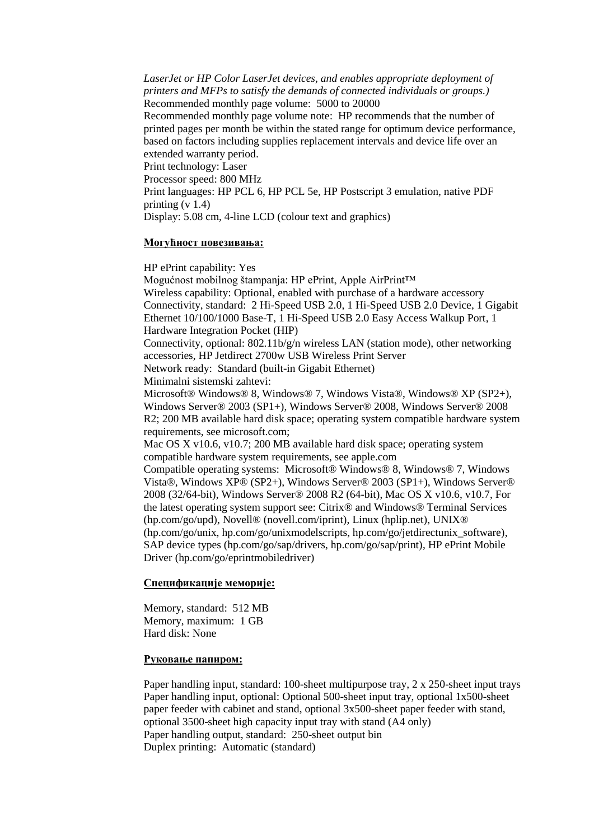*LaserJet or HP Color LaserJet devices, and enables appropriate deployment of printers and MFPs to satisfy the demands of connected individuals or groups.)* Recommended monthly page volume: 5000 to 20000 Recommended monthly page volume note: HP recommends that the number of printed pages per month be within the stated range for optimum device performance, based on factors including supplies replacement intervals and device life over an extended warranty period. Print technology: Laser Processor speed: 800 MHz Print languages: HP PCL 6, HP PCL 5e, HP Postscript 3 emulation, native PDF printing  $(v 1.4)$ 

Display: 5.08 cm, 4-line LCD (colour text and graphics)

#### **Могућност повезивања:**

HP ePrint capability: Yes

Mogućnost mobilnog štampanja: HP ePrint, Apple AirPrint™ Wireless capability: Optional, enabled with purchase of a hardware accessory Connectivity, standard: 2 Hi-Speed USB 2.0, 1 Hi-Speed USB 2.0 Device, 1 Gigabit Ethernet 10/100/1000 Base-T, 1 Hi-Speed USB 2.0 Easy Access Walkup Port, 1 Hardware Integration Pocket (HIP) Connectivity, optional: 802.11b/g/n wireless LAN (station mode), other networking accessories, HP Jetdirect 2700w USB Wireless Print Server Network ready: Standard (built-in Gigabit Ethernet) Minimalni sistemski zahtevi: Microsoft® Windows® 8, Windows® 7, Windows Vista®, Windows® XP (SP2+), Windows Server® 2003 (SP1+), Windows Server® 2008, Windows Server® 2008 R2; 200 MB available hard disk space; operating system compatible hardware system requirements, see microsoft.com; Mac OS X v10.6, v10.7; 200 MB available hard disk space; operating system compatible hardware system requirements, see apple.com Compatible operating systems: Microsoft® Windows® 8, Windows® 7, Windows Vista®, Windows XP® (SP2+), Windows Server® 2003 (SP1+), Windows Server® 2008 (32/64-bit), Windows Server® 2008 R2 (64-bit), Mac OS X v10.6, v10.7, For the latest operating system support see: Citrix® and Windows® Terminal Services (hp.com/go/upd), Novell® (novell.com/iprint), Linux (hplip.net), UNIX® (hp.com/go/unix, hp.com/go/unixmodelscripts, hp.com/go/jetdirectunix\_software), SAP device types (hp.com/go/sap/drivers, hp.com/go/sap/print), HP ePrint Mobile Driver (hp.com/go/eprintmobiledriver)

#### **Спецификације меморије[:](javascript:%20void(0);)**

Memory, standard: 512 MB Memory, maximum: 1 GB Hard disk: None

### **Руковање папиром[:](javascript:%20void(0);)**

Paper handling input, standard: 100-sheet multipurpose tray, 2 x 250-sheet input trays Paper handling input, optional: Optional 500-sheet input tray, optional 1x500-sheet paper feeder with cabinet and stand, optional 3x500-sheet paper feeder with stand, optional 3500-sheet high capacity input tray with stand (A4 only) Paper handling output, standard: 250-sheet output bin Duplex printing: Automatic (standard)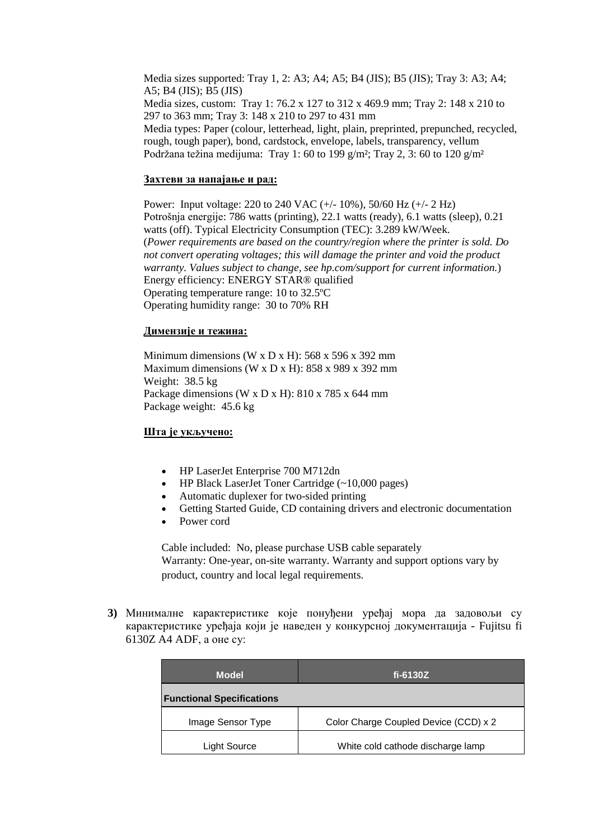Media sizes supported: Tray 1, 2: A3; A4; A5; B4 (JIS); B5 (JIS); Tray 3: A3; A4; A5; B4 (JIS); B5 (JIS) Media sizes, custom: Tray 1: 76.2 x 127 to 312 x 469.9 mm; Tray 2: 148 x 210 to 297 to 363 mm; Tray 3: 148 x 210 to 297 to 431 mm Media types: Paper (colour, letterhead, light, plain, preprinted, prepunched, recycled, rough, tough paper), bond, cardstock, envelope, labels, transparency, vellum Podržana težina medijuma: Tray 1: 60 to 199 g/m²; Tray 2, 3: 60 to 120 g/m²

### **Захтеви за напајање и рад[:](javascript:%20void(0);)**

Power: Input voltage: 220 to 240 VAC (+/- 10%), 50/60 Hz (+/- 2 Hz) Potrošnja energije: 786 watts (printing), 22.1 watts (ready), 6.1 watts (sleep), 0.21 watts (off). Typical Electricity Consumption (TEC): 3.289 kW/Week. (*Power requirements are based on the country/region where the printer is sold. Do not convert operating voltages; this will damage the printer and void the product warranty. Values subject to change, see hp.com/support for current information.*) Energy efficiency: ENERGY STAR® qualified Operating temperature range: 10 to 32.5ºC Operating humidity range: 30 to 70% RH

### **Димензије и тежина:**

Minimum dimensions (W x D x H):  $568 \times 596 \times 392 \text{ mm}$ Maximum dimensions (W x D x H): 858 x 989 x 392 mm Weight: 38.5 kg Package dimensions (W x D x H): 810 x 785 x 644 mm Package weight: 45.6 kg

### **Шта је укључено[:](javascript:%20void(0);)**

- HP LaserJet Enterprise 700 M712dn
- HP Black LaserJet Toner Cartridge (~10,000 pages)
- Automatic duplexer for two-sided printing
- Getting Started Guide, CD containing drivers and electronic documentation
- Power cord

Cable included: No, please purchase USB cable separately Warranty: One-year, on-site warranty. Warranty and support options vary by product, country and local legal requirements.

**3)** Минималне карактеристике које понуђени уређај мора да задовољи су карактеристике уређаја који је наведен у конкурсној документација - Fujitsu fi 6130Z A4 ADF, а оне су:

| <b>Model</b>                     | fi-6130 $Z$                           |  |
|----------------------------------|---------------------------------------|--|
| <b>Functional Specifications</b> |                                       |  |
| Image Sensor Type                | Color Charge Coupled Device (CCD) x 2 |  |
| Light Source                     | White cold cathode discharge lamp     |  |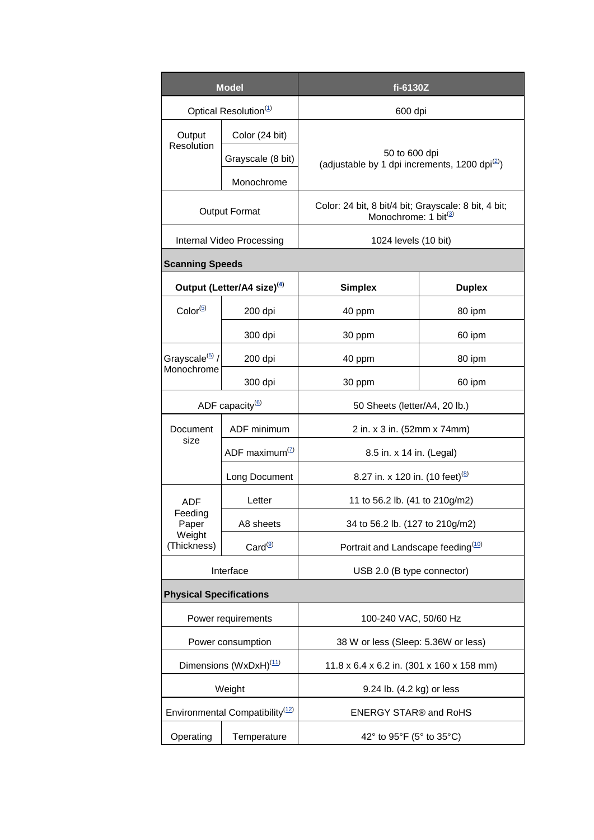| <b>Model</b>                                     |                                        | fi-6130Z                                                                        |               |  |
|--------------------------------------------------|----------------------------------------|---------------------------------------------------------------------------------|---------------|--|
| Optical Resolution <sup>(1)</sup>                |                                        | 600 dpi                                                                         |               |  |
| Output<br>Resolution                             | Color (24 bit)                         | 50 to 600 dpi<br>(adjustable by 1 dpi increments, 1200 dpi <sup>(2)</sup> )     |               |  |
|                                                  | Grayscale (8 bit)                      |                                                                                 |               |  |
|                                                  | Monochrome                             |                                                                                 |               |  |
| <b>Output Format</b>                             |                                        | Color: 24 bit, 8 bit/4 bit; Grayscale: 8 bit, 4 bit;<br>Monochrome: 1 bit $(3)$ |               |  |
| Internal Video Processing                        |                                        | 1024 levels (10 bit)                                                            |               |  |
| <b>Scanning Speeds</b>                           |                                        |                                                                                 |               |  |
|                                                  | Output (Letter/A4 size) <sup>(4)</sup> | <b>Simplex</b>                                                                  | <b>Duplex</b> |  |
| $Color^{(5)}$                                    | 200 dpi                                | 40 ppm                                                                          | 80 ipm        |  |
|                                                  | 300 dpi                                | 30 ppm                                                                          | 60 ipm        |  |
| Grayscale <sup>(5)</sup> /<br>Monochrome         | 200 dpi                                | 40 ppm                                                                          | 80 ipm        |  |
|                                                  | 300 dpi                                | 30 ppm                                                                          | 60 ipm        |  |
| ADF capacity $^{(6)}$                            |                                        | 50 Sheets (letter/A4, 20 lb.)                                                   |               |  |
| Document<br>size                                 | ADF minimum                            | 2 in. x 3 in. (52mm x 74mm)                                                     |               |  |
|                                                  | ADF maximum $(2)$                      | 8.5 in. x 14 in. (Legal)                                                        |               |  |
|                                                  | Long Document                          | 8.27 in. x 120 in. (10 feet) <sup>(8)</sup>                                     |               |  |
| ADF<br>Feeding<br>Paper<br>Weight<br>(Thickness) | Letter                                 | 11 to 56.2 lb. (41 to 210g/m2)                                                  |               |  |
|                                                  | A8 sheets                              | 34 to 56.2 lb. (127 to 210g/m2)                                                 |               |  |
|                                                  | Card <sup>(9)</sup>                    | Portrait and Landscape feeding <sup>(10)</sup>                                  |               |  |
| Interface                                        |                                        | USB 2.0 (B type connector)                                                      |               |  |
| <b>Physical Specifications</b>                   |                                        |                                                                                 |               |  |
| Power requirements                               |                                        | 100-240 VAC, 50/60 Hz                                                           |               |  |
| Power consumption                                |                                        | 38 W or less (Sleep: 5.36W or less)                                             |               |  |
| Dimensions (WxDxH) <sup>(11)</sup>               |                                        | 11.8 x 6.4 x 6.2 in. (301 x 160 x 158 mm)                                       |               |  |
| Weight                                           |                                        | 9.24 lb. (4.2 kg) or less                                                       |               |  |
| Environmental Compatibility <sup>(12)</sup>      |                                        | <b>ENERGY STAR® and RoHS</b>                                                    |               |  |
| Operating                                        | Temperature                            | 42° to 95°F (5° to 35°C)                                                        |               |  |